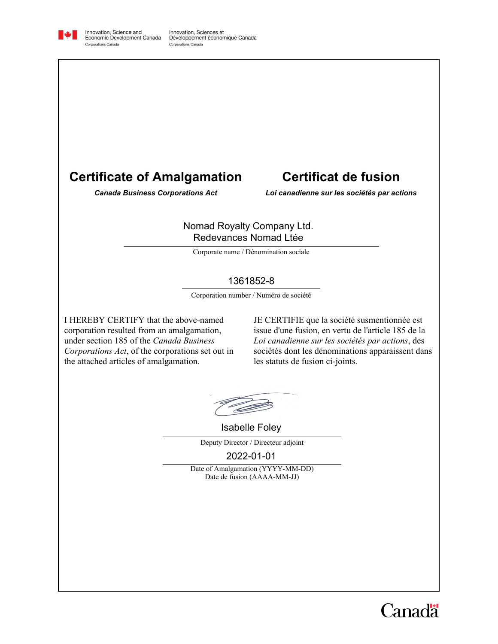

Innovation, Science and<br>Economic Development Canada Corporations Canada

Innovation, Sciences et Développement économique Canada Corporations Canada

# **Certificate of Amalgamation**

## **Certificat de fusion**

*Canada Business Corporations Act Loi canadienne sur les sociétés par actions*

#### Nomad Royalty Company Ltd. Redevances Nomad Ltée

Corporate name / Dénomination sociale

## 1361852-8

Corporation number / Numéro de société

I HEREBY CERTIFY that the above-named corporation resulted from an amalgamation, under section 185 of the *Canada Business Corporations Act*, of the corporations set out in the attached articles of amalgamation.

JE CERTIFIE que la société susmentionnée est issue d'une fusion, en vertu de l'article 185 de la *Loi canadienne sur les sociétés par actions*, des sociétés dont les dénominations apparaissent dans les statuts de fusion ci-joints.

Isabelle Foley

Deputy Director / Directeur adjoint

2022-01-01

Date of Amalgamation (YYYY-MM-DD) Date de fusion (AAAA-MM-JJ)

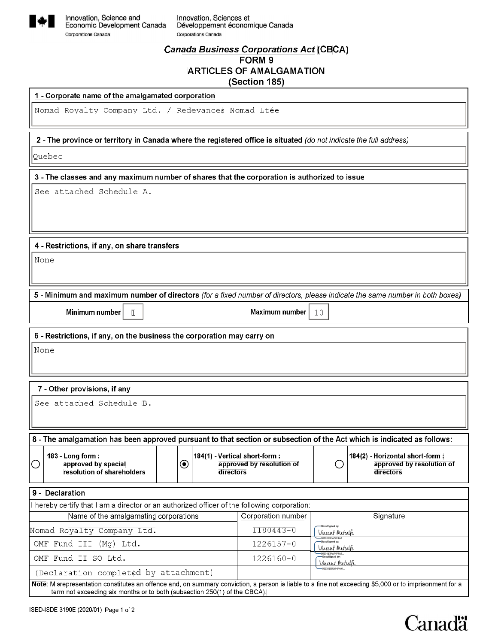

### **Canada Business Corporations Act (CBCA)** FORM 9 **ARTICLES OF AMALGAMATION** (Section 185)

1 - Corporate name of the amalgamated corporation

Nomad Royalty Company Ltd. / Redevances Nomad Ltée

2 - The province or territory in Canada where the registered office is situated (do not indicate the full address)

Quebec

3 - The classes and any maximum number of shares that the corporation is authorized to issue

See attached Schedule A.

4 - Restrictions, if any, on share transfers

None

5 - Minimum and maximum number of directors (for a fixed number of directors, please indicate the same number in both boxes)

Minimum number

Maximum number  $\mathbb{T}0$ 

6 - Restrictions, if any, on the business the corporation may carry on

 $\mathbbm{1}$ 

None

#### 7 - Other provisions, if any

See attached Schedule B.

8 - The amalgamation has been approved pursuant to that section or subsection of the Act which is indicated as follows: 183 - Long form: 184(1) - Vertical short-form : 184(2) - Horizontal short-form : approved by special  $\bf \odot$ approved by resolution of O approved by resolution of O resolution of shareholders directors directors

| 9 - Declaration                                                                                                                                                                                                                     |                    |                                                        |  |
|-------------------------------------------------------------------------------------------------------------------------------------------------------------------------------------------------------------------------------------|--------------------|--------------------------------------------------------|--|
| I hereby certify that I am a director or an authorized officer of the following corporation:                                                                                                                                        |                    |                                                        |  |
| Name of the amalgamating corporations                                                                                                                                                                                               | Corporation number | Signature                                              |  |
| Nomad Royalty Company Ltd.                                                                                                                                                                                                          | $1180443 - 0$      | -DocuSigned by:<br>Vincent Metcalh                     |  |
| OMF Fund III (Mg) Ltd.                                                                                                                                                                                                              | $1226157 - 0$      | -96531B3FA74F4A1<br>-DocuSigned by:<br>Vincent Metcalh |  |
| OMF Fund II SO Ltd.                                                                                                                                                                                                                 | $1226160 - 0$      | -96531B3FA74F4A1<br>-DocuSigned by:<br>Vincent Metcath |  |
| (Declaration completed by attachment)                                                                                                                                                                                               |                    | -96531B3FA74F4A1.                                      |  |
| Note: Misrepresentation constitutes an offence and, on summary conviction, a person is liable to a fine not exceeding \$5,000 or to imprisonment for a<br>term not exceeding six months or to both (subsection 250(1) of the CBCA). |                    |                                                        |  |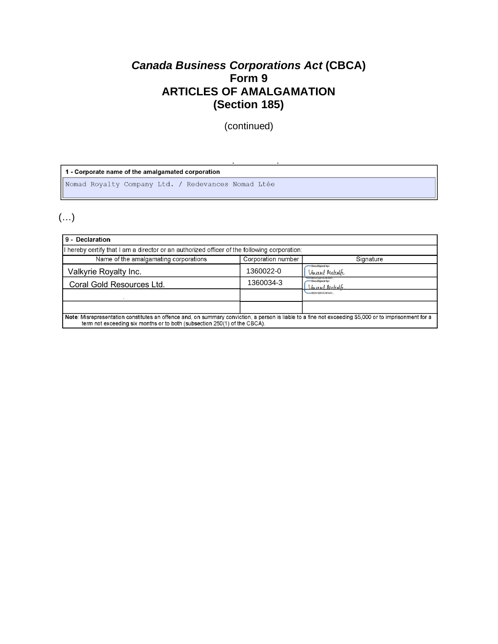## *Canada Business Corporations Act* **(CBCA) Form 9 ARTICLES OF AMALGAMATION (Section 185)**

(continued)

1 - Corporate name of the amalgamated corporation Nomad Royalty Company Ltd. / Redevances Nomad Ltée

## (…)

| 9 - Declaration                                                                                                                                                                                                                     |                    |                                    |  |
|-------------------------------------------------------------------------------------------------------------------------------------------------------------------------------------------------------------------------------------|--------------------|------------------------------------|--|
| hereby certify that I am a director or an authorized officer of the following corporation:                                                                                                                                          |                    |                                    |  |
| Name of the amalgamating corporations                                                                                                                                                                                               | Corporation number | Signature                          |  |
| Valkyrie Royalty Inc.                                                                                                                                                                                                               | 1360022-0          | -DocuSigned by:<br>Vincent Metcalh |  |
| Coral Gold Resources Ltd.                                                                                                                                                                                                           | 1360034-3          | -DocuSigned by:<br>Macesat Metcalh |  |
|                                                                                                                                                                                                                                     |                    | -96531B3FA74F4A1.                  |  |
|                                                                                                                                                                                                                                     |                    |                                    |  |
| Note: Misrepresentation constitutes an offence and, on summary conviction, a person is liable to a fine not exceeding \$5,000 or to imprisonment for a<br>term not exceeding six months or to both (subsection 250(1) of the CBCA). |                    |                                    |  |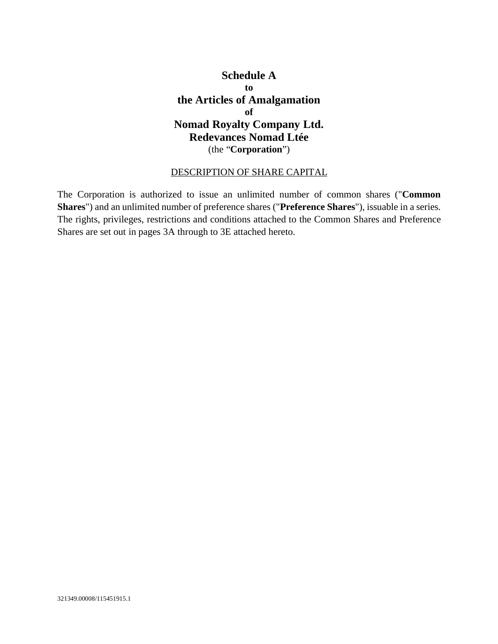## **Schedule A to the Articles of Amalgamation of Nomad Royalty Company Ltd. Redevances Nomad Ltée** (the "**Corporation**")

## DESCRIPTION OF SHARE CAPITAL

The Corporation is authorized to issue an unlimited number of common shares ("**Common Shares**") and an unlimited number of preference shares ("**Preference Shares**"), issuable in a series. The rights, privileges, restrictions and conditions attached to the Common Shares and Preference Shares are set out in pages 3A through to 3E attached hereto.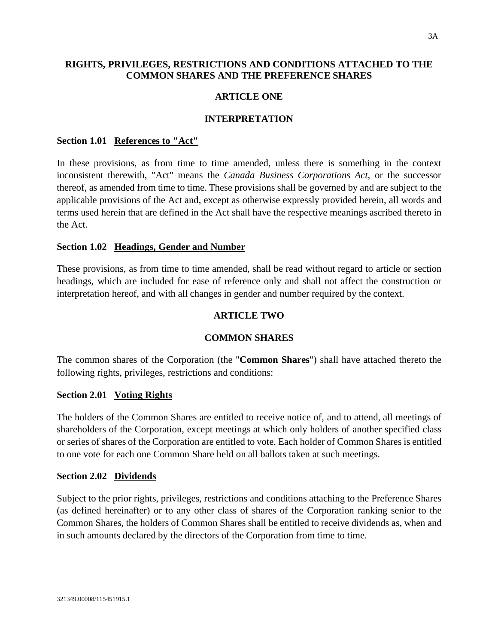### **RIGHTS, PRIVILEGES, RESTRICTIONS AND CONDITIONS ATTACHED TO THE COMMON SHARES AND THE PREFERENCE SHARES**

#### **ARTICLE ONE**

#### **INTERPRETATION**

#### **Section 1.01 References to "Act"**

In these provisions, as from time to time amended, unless there is something in the context inconsistent therewith, "Act" means the *Canada Business Corporations Act,* or the successor thereof, as amended from time to time. These provisions shall be governed by and are subject to the applicable provisions of the Act and, except as otherwise expressly provided herein, all words and terms used herein that are defined in the Act shall have the respective meanings ascribed thereto in the Act.

#### **Section 1.02 Headings, Gender and Number**

These provisions, as from time to time amended, shall be read without regard to article or section headings, which are included for ease of reference only and shall not affect the construction or interpretation hereof, and with all changes in gender and number required by the context.

#### **ARTICLE TWO**

#### **COMMON SHARES**

The common shares of the Corporation (the "**Common Shares**") shall have attached thereto the following rights, privileges, restrictions and conditions:

#### **Section 2.01 Voting Rights**

The holders of the Common Shares are entitled to receive notice of, and to attend, all meetings of shareholders of the Corporation, except meetings at which only holders of another specified class or series of shares of the Corporation are entitled to vote. Each holder of Common Shares is entitled to one vote for each one Common Share held on all ballots taken at such meetings.

#### **Section 2.02 Dividends**

Subject to the prior rights, privileges, restrictions and conditions attaching to the Preference Shares (as defined hereinafter) or to any other class of shares of the Corporation ranking senior to the Common Shares, the holders of Common Shares shall be entitled to receive dividends as, when and in such amounts declared by the directors of the Corporation from time to time.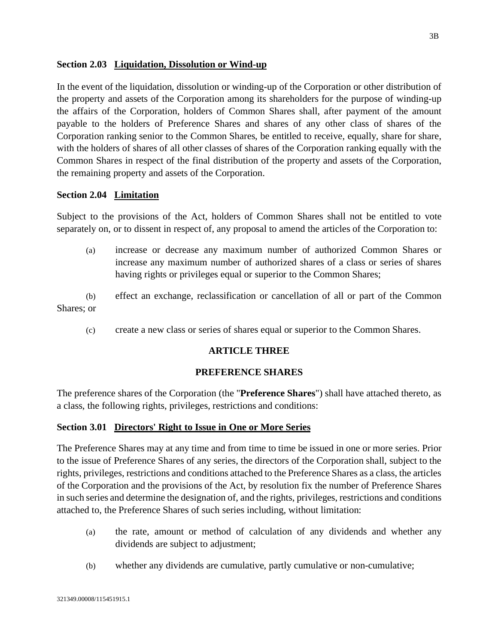#### **Section 2.03 Liquidation, Dissolution or Wind-up**

In the event of the liquidation, dissolution or winding-up of the Corporation or other distribution of the property and assets of the Corporation among its shareholders for the purpose of winding-up the affairs of the Corporation, holders of Common Shares shall, after payment of the amount payable to the holders of Preference Shares and shares of any other class of shares of the Corporation ranking senior to the Common Shares, be entitled to receive, equally, share for share, with the holders of shares of all other classes of shares of the Corporation ranking equally with the Common Shares in respect of the final distribution of the property and assets of the Corporation, the remaining property and assets of the Corporation.

#### **Section 2.04 Limitation**

Subject to the provisions of the Act, holders of Common Shares shall not be entitled to vote separately on, or to dissent in respect of, any proposal to amend the articles of the Corporation to:

(a) increase or decrease any maximum number of authorized Common Shares or increase any maximum number of authorized shares of a class or series of shares having rights or privileges equal or superior to the Common Shares;

(b) effect an exchange, reclassification or cancellation of all or part of the Common Shares; or

(c) create a new class or series of shares equal or superior to the Common Shares.

#### **ARTICLE THREE**

#### **PREFERENCE SHARES**

The preference shares of the Corporation (the "**Preference Shares**") shall have attached thereto, as a class, the following rights, privileges, restrictions and conditions:

#### **Section 3.01 Directors' Right to Issue in One or More Series**

The Preference Shares may at any time and from time to time be issued in one or more series. Prior to the issue of Preference Shares of any series, the directors of the Corporation shall, subject to the rights, privileges, restrictions and conditions attached to the Preference Shares as a class, the articles of the Corporation and the provisions of the Act, by resolution fix the number of Preference Shares in such series and determine the designation of, and the rights, privileges, restrictions and conditions attached to, the Preference Shares of such series including, without limitation:

- (a) the rate, amount or method of calculation of any dividends and whether any dividends are subject to adjustment;
- (b) whether any dividends are cumulative, partly cumulative or non-cumulative;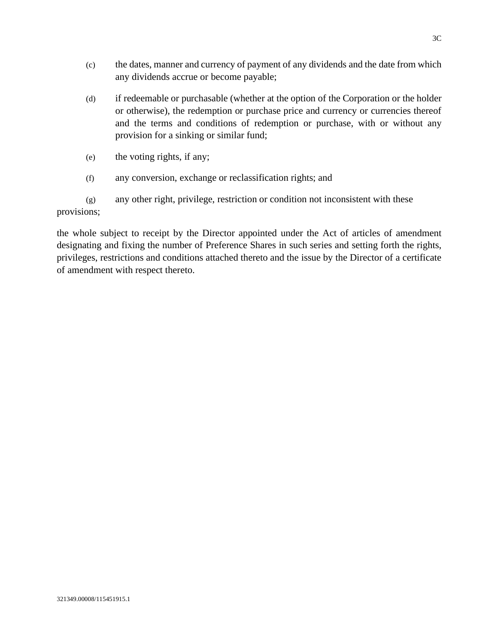- (c) the dates, manner and currency of payment of any dividends and the date from which any dividends accrue or become payable;
- (d) if redeemable or purchasable (whether at the option of the Corporation or the holder or otherwise), the redemption or purchase price and currency or currencies thereof and the terms and conditions of redemption or purchase, with or without any provision for a sinking or similar fund;
- (e) the voting rights, if any;
- (f) any conversion, exchange or reclassification rights; and
- (g) any other right, privilege, restriction or condition not inconsistent with these provisions;

the whole subject to receipt by the Director appointed under the Act of articles of amendment designating and fixing the number of Preference Shares in such series and setting forth the rights, privileges, restrictions and conditions attached thereto and the issue by the Director of a certificate of amendment with respect thereto.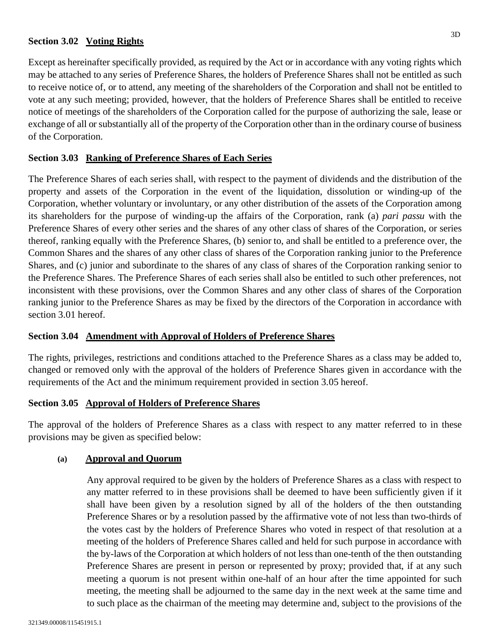#### **Section 3.02 Voting Rights**

Except as hereinafter specifically provided, as required by the Act or in accordance with any voting rights which may be attached to any series of Preference Shares, the holders of Preference Shares shall not be entitled as such to receive notice of, or to attend, any meeting of the shareholders of the Corporation and shall not be entitled to vote at any such meeting; provided, however, that the holders of Preference Shares shall be entitled to receive notice of meetings of the shareholders of the Corporation called for the purpose of authorizing the sale, lease or exchange of all or substantially all of the property of the Corporation other than in the ordinary course of business of the Corporation.

#### **Section 3.03 Ranking of Preference Shares of Each Series**

The Preference Shares of each series shall, with respect to the payment of dividends and the distribution of the property and assets of the Corporation in the event of the liquidation, dissolution or winding-up of the Corporation, whether voluntary or involuntary, or any other distribution of the assets of the Corporation among its shareholders for the purpose of winding-up the affairs of the Corporation, rank (a) *pari passu* with the Preference Shares of every other series and the shares of any other class of shares of the Corporation, or series thereof, ranking equally with the Preference Shares, (b) senior to, and shall be entitled to a preference over, the Common Shares and the shares of any other class of shares of the Corporation ranking junior to the Preference Shares, and (c) junior and subordinate to the shares of any class of shares of the Corporation ranking senior to the Preference Shares. The Preference Shares of each series shall also be entitled to such other preferences, not inconsistent with these provisions, over the Common Shares and any other class of shares of the Corporation ranking junior to the Preference Shares as may be fixed by the directors of the Corporation in accordance with section 3.01 hereof.

#### **Section 3.04 Amendment with Approval of Holders of Preference Shares**

The rights, privileges, restrictions and conditions attached to the Preference Shares as a class may be added to, changed or removed only with the approval of the holders of Preference Shares given in accordance with the requirements of the Act and the minimum requirement provided in section 3.05 hereof.

#### **Section 3.05 Approval of Holders of Preference Shares**

The approval of the holders of Preference Shares as a class with respect to any matter referred to in these provisions may be given as specified below:

#### **(a) Approval and Quorum**

Any approval required to be given by the holders of Preference Shares as a class with respect to any matter referred to in these provisions shall be deemed to have been sufficiently given if it shall have been given by a resolution signed by all of the holders of the then outstanding Preference Shares or by a resolution passed by the affirmative vote of not less than two-thirds of the votes cast by the holders of Preference Shares who voted in respect of that resolution at a meeting of the holders of Preference Shares called and held for such purpose in accordance with the by-laws of the Corporation at which holders of not less than one-tenth of the then outstanding Preference Shares are present in person or represented by proxy; provided that, if at any such meeting a quorum is not present within one-half of an hour after the time appointed for such meeting, the meeting shall be adjourned to the same day in the next week at the same time and to such place as the chairman of the meeting may determine and, subject to the provisions of the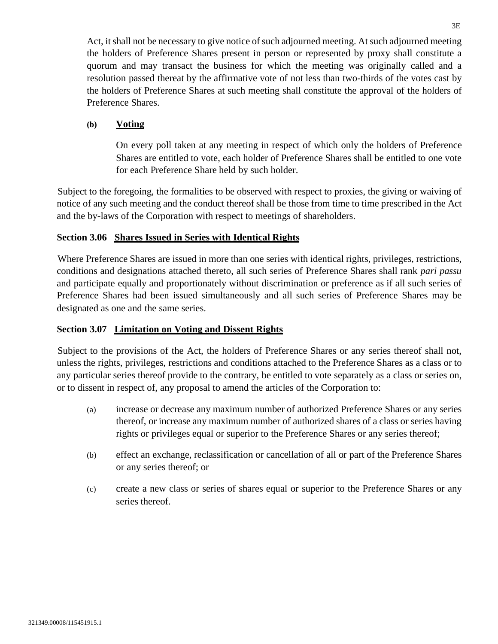Act, it shall not be necessary to give notice of such adjourned meeting. At such adjourned meeting the holders of Preference Shares present in person or represented by proxy shall constitute a quorum and may transact the business for which the meeting was originally called and a resolution passed thereat by the affirmative vote of not less than two-thirds of the votes cast by the holders of Preference Shares at such meeting shall constitute the approval of the holders of Preference Shares.

## **(b) Voting**

On every poll taken at any meeting in respect of which only the holders of Preference Shares are entitled to vote, each holder of Preference Shares shall be entitled to one vote for each Preference Share held by such holder.

Subject to the foregoing, the formalities to be observed with respect to proxies, the giving or waiving of notice of any such meeting and the conduct thereof shall be those from time to time prescribed in the Act and the by-laws of the Corporation with respect to meetings of shareholders.

### **Section 3.06 Shares Issued in Series with Identical Rights**

Where Preference Shares are issued in more than one series with identical rights, privileges, restrictions, conditions and designations attached thereto, all such series of Preference Shares shall rank *pari passu* and participate equally and proportionately without discrimination or preference as if all such series of Preference Shares had been issued simultaneously and all such series of Preference Shares may be designated as one and the same series.

#### **Section 3.07 Limitation on Voting and Dissent Rights**

Subject to the provisions of the Act, the holders of Preference Shares or any series thereof shall not, unless the rights, privileges, restrictions and conditions attached to the Preference Shares as a class or to any particular series thereof provide to the contrary, be entitled to vote separately as a class or series on, or to dissent in respect of, any proposal to amend the articles of the Corporation to:

- (a) increase or decrease any maximum number of authorized Preference Shares or any series thereof, or increase any maximum number of authorized shares of a class or series having rights or privileges equal or superior to the Preference Shares or any series thereof;
- (b) effect an exchange, reclassification or cancellation of all or part of the Preference Shares or any series thereof; or
- (c) create a new class or series of shares equal or superior to the Preference Shares or any series thereof.